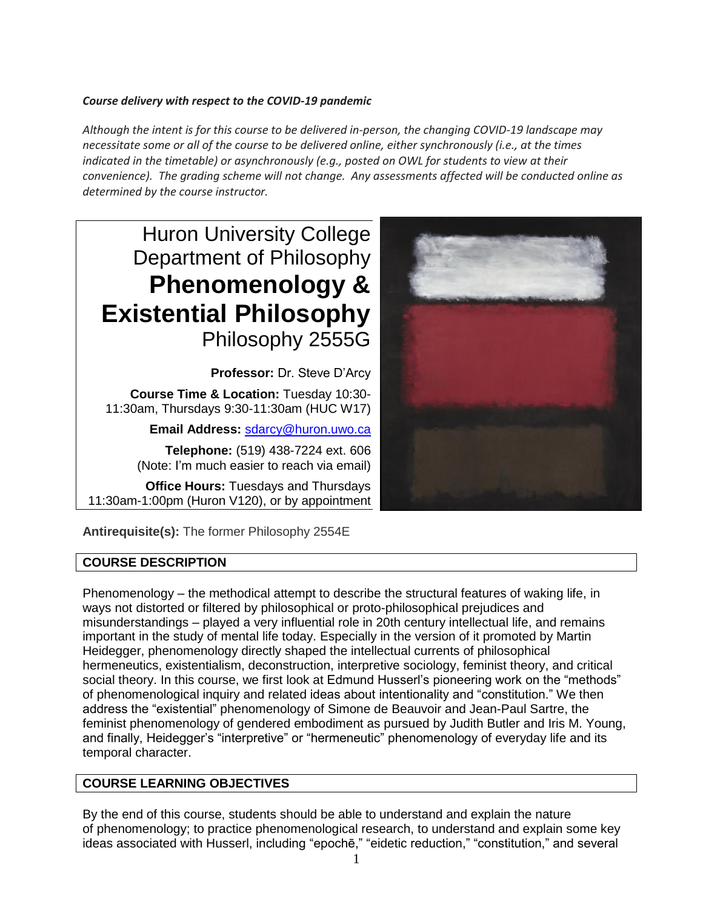## *Course delivery with respect to the COVID-19 pandemic*

*Although the intent is for this course to be delivered in-person, the changing COVID-19 landscape may necessitate some or all of the course to be delivered online, either synchronously (i.e., at the times indicated in the timetable) or asynchronously (e.g., posted on OWL for students to view at their convenience). The grading scheme will not change. Any assessments affected will be conducted online as determined by the course instructor.*

Huron University College Department of Philosophy **Phenomenology & Existential Philosophy** Philosophy 2555G

**Professor:** Dr. Steve D'Arcy **Course Time & Location:** Tuesday 10:30- 11:30am, Thursdays 9:30-11:30am (HUC W17)

**Email Address:** [sdarcy@huron.uwo.ca](mailto:sdarcy@huron.uwo.ca)

**Telephone:** (519) 438-7224 ext. 606 (Note: I'm much easier to reach via email)

**Office Hours:** Tuesdays and Thursdays 11:30am-1:00pm (Huron V120), or by appointment



**Antirequisite(s):** The former Philosophy 2554E

# **COURSE DESCRIPTION**

Phenomenology – the methodical attempt to describe the structural features of waking life, in ways not distorted or filtered by philosophical or proto-philosophical prejudices and misunderstandings – played a very influential role in 20th century intellectual life, and remains important in the study of mental life today. Especially in the version of it promoted by Martin Heidegger, phenomenology directly shaped the intellectual currents of philosophical hermeneutics, existentialism, deconstruction, interpretive sociology, feminist theory, and critical social theory. In this course, we first look at Edmund Husserl's pioneering work on the "methods" of phenomenological inquiry and related ideas about intentionality and "constitution." We then address the "existential" phenomenology of Simone de Beauvoir and Jean-Paul Sartre, the feminist phenomenology of gendered embodiment as pursued by Judith Butler and Iris M. Young, and finally, Heidegger's "interpretive" or "hermeneutic" phenomenology of everyday life and its temporal character.

# **COURSE LEARNING OBJECTIVES**

By the end of this course, students should be able to understand and explain the nature of phenomenology; to practice phenomenological research, to understand and explain some key ideas associated with Husserl, including "epochē," "eidetic reduction," "constitution," and several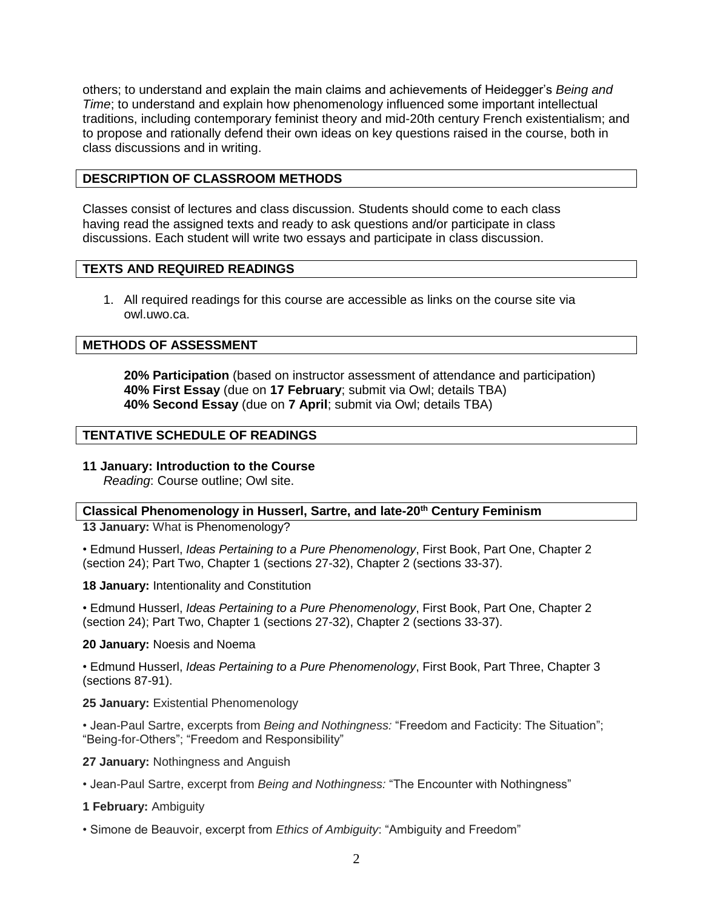others; to understand and explain the main claims and achievements of Heidegger's *Being and Time*; to understand and explain how phenomenology influenced some important intellectual traditions, including contemporary feminist theory and mid-20th century French existentialism; and to propose and rationally defend their own ideas on key questions raised in the course, both in class discussions and in writing.

## **DESCRIPTION OF CLASSROOM METHODS**

Classes consist of lectures and class discussion. Students should come to each class having read the assigned texts and ready to ask questions and/or participate in class discussions. Each student will write two essays and participate in class discussion.

## **TEXTS AND REQUIRED READINGS**

1. All required readings for this course are accessible as links on the course site via owl.uwo.ca.

## **METHODS OF ASSESSMENT**

**20% Participation** (based on instructor assessment of attendance and participation) **40% First Essay** (due on **17 February**; submit via Owl; details TBA) **40% Second Essay** (due on **7 April**; submit via Owl; details TBA)

# **TENTATIVE SCHEDULE OF READINGS**

## **11 January: Introduction to the Course**

*Reading*: Course outline; Owl site.

#### **Classical Phenomenology in Husserl, Sartre, and late-20th Century Feminism**

**13 January:** What is Phenomenology?

• Edmund Husserl, *Ideas Pertaining to a Pure Phenomenology*, First Book, Part One, Chapter 2 (section 24); Part Two, Chapter 1 (sections 27-32), Chapter 2 (sections 33-37).

**18 January:** Intentionality and Constitution

• Edmund Husserl, *Ideas Pertaining to a Pure Phenomenology*, First Book, Part One, Chapter 2 (section 24); Part Two, Chapter 1 (sections 27-32), Chapter 2 (sections 33-37).

#### **20 January:** Noesis and Noema

• Edmund Husserl, *Ideas Pertaining to a Pure Phenomenology*, First Book, Part Three, Chapter 3 (sections 87-91).

#### **25 January:** Existential Phenomenology

• Jean-Paul Sartre, excerpts from *Being and Nothingness:* "Freedom and Facticity: The Situation"; "Being-for-Others"; "Freedom and Responsibility"

#### **27 January:** Nothingness and Anguish

• Jean-Paul Sartre, excerpt from *Being and Nothingness:* "The Encounter with Nothingness"

## **1 February:** Ambiguity

• Simone de Beauvoir, excerpt from *Ethics of Ambiguity*: "Ambiguity and Freedom"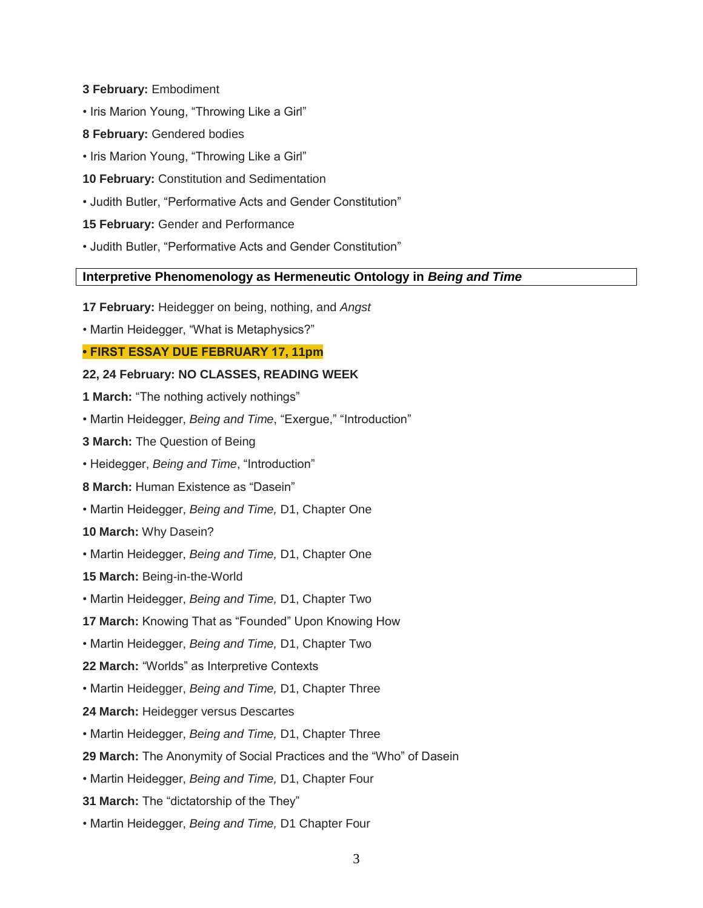- **3 February:** Embodiment
- Iris Marion Young, "Throwing Like a Girl"
- **8 February:** Gendered bodies
- Iris Marion Young, "Throwing Like a Girl"
- **10 February:** Constitution and Sedimentation
- Judith Butler, "Performative Acts and Gender Constitution"
- **15 February:** Gender and Performance
- Judith Butler, "Performative Acts and Gender Constitution"

#### **Interpretive Phenomenology as Hermeneutic Ontology in** *Being and Time*

- **17 February:** Heidegger on being, nothing, and *Angst*
- Martin Heidegger, "What is Metaphysics?"

#### **• FIRST ESSAY DUE FEBRUARY 17, 11pm**

#### **22, 24 February: NO CLASSES, READING WEEK**

- **1 March:** "The nothing actively nothings"
- Martin Heidegger, *Being and Time*, "Exergue," "Introduction"
- **3 March:** The Question of Being
- Heidegger, *Being and Time*, "Introduction"
- **8 March:** Human Existence as "Dasein"
- Martin Heidegger, *Being and Time,* D1, Chapter One

#### **10 March:** Why Dasein?

- Martin Heidegger, *Being and Time,* D1, Chapter One
- **15 March:** Being-in-the-World
- Martin Heidegger, *Being and Time,* D1, Chapter Two
- **17 March:** Knowing That as "Founded" Upon Knowing How
- Martin Heidegger, *Being and Time,* D1, Chapter Two
- **22 March:** "Worlds" as Interpretive Contexts
- Martin Heidegger, *Being and Time,* D1, Chapter Three
- **24 March:** Heidegger versus Descartes
- Martin Heidegger, *Being and Time,* D1, Chapter Three
- **29 March:** The Anonymity of Social Practices and the "Who" of Dasein
- Martin Heidegger, *Being and Time,* D1, Chapter Four
- **31 March:** The "dictatorship of the They"
- Martin Heidegger, *Being and Time,* D1 Chapter Four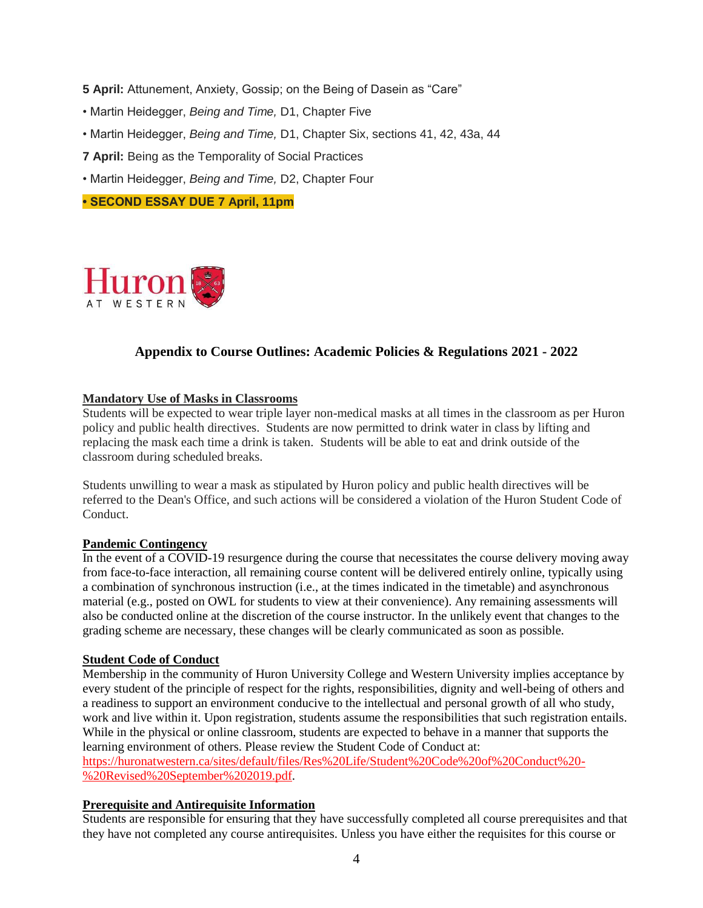**5 April:** Attunement, Anxiety, Gossip; on the Being of Dasein as "Care"

- Martin Heidegger, *Being and Time,* D1, Chapter Five
- Martin Heidegger, *Being and Time,* D1, Chapter Six, sections 41, 42, 43a, 44

**7 April:** Being as the Temporality of Social Practices

• Martin Heidegger, *Being and Time,* D2, Chapter Four

**• SECOND ESSAY DUE 7 April, 11pm**



# **Appendix to Course Outlines: Academic Policies & Regulations 2021 - 2022**

#### **Mandatory Use of Masks in Classrooms**

Students will be expected to wear triple layer non-medical masks at all times in the classroom as per Huron policy and public health directives. Students are now permitted to drink water in class by lifting and replacing the mask each time a drink is taken. Students will be able to eat and drink outside of the classroom during scheduled breaks.

Students unwilling to wear a mask as stipulated by Huron policy and public health directives will be referred to the Dean's Office, and such actions will be considered a violation of the Huron Student Code of **Conduct** 

#### **Pandemic Contingency**

In the event of a COVID-19 resurgence during the course that necessitates the course delivery moving away from face-to-face interaction, all remaining course content will be delivered entirely online, typically using a combination of synchronous instruction (i.e., at the times indicated in the timetable) and asynchronous material (e.g., posted on OWL for students to view at their convenience). Any remaining assessments will also be conducted online at the discretion of the course instructor. In the unlikely event that changes to the grading scheme are necessary, these changes will be clearly communicated as soon as possible.

#### **Student Code of Conduct**

Membership in the community of Huron University College and Western University implies acceptance by every student of the principle of respect for the rights, responsibilities, dignity and well-being of others and a readiness to support an environment conducive to the intellectual and personal growth of all who study, work and live within it. Upon registration, students assume the responsibilities that such registration entails. While in the physical or online classroom, students are expected to behave in a manner that supports the learning environment of others. Please review the Student Code of Conduct at:

[https://huronatwestern.ca/sites/default/files/Res%20Life/Student%20Code%20of%20Conduct%20-](https://huronatwestern.ca/sites/default/files/Res%20Life/Student%20Code%20of%20Conduct%20-%20Revised%20September%202019.pdf) [%20Revised%20September%202019.pdf.](https://huronatwestern.ca/sites/default/files/Res%20Life/Student%20Code%20of%20Conduct%20-%20Revised%20September%202019.pdf)

#### **Prerequisite and Antirequisite Information**

Students are responsible for ensuring that they have successfully completed all course prerequisites and that they have not completed any course antirequisites. Unless you have either the requisites for this course or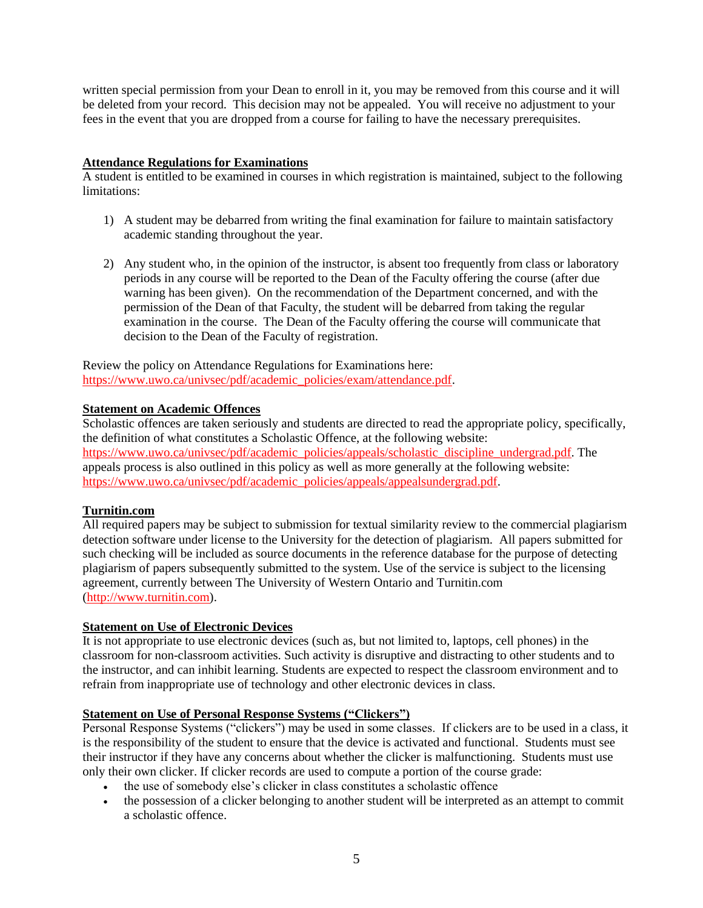written special permission from your Dean to enroll in it, you may be removed from this course and it will be deleted from your record. This decision may not be appealed. You will receive no adjustment to your fees in the event that you are dropped from a course for failing to have the necessary prerequisites.

## **Attendance Regulations for Examinations**

A student is entitled to be examined in courses in which registration is maintained, subject to the following limitations:

- 1) A student may be debarred from writing the final examination for failure to maintain satisfactory academic standing throughout the year.
- 2) Any student who, in the opinion of the instructor, is absent too frequently from class or laboratory periods in any course will be reported to the Dean of the Faculty offering the course (after due warning has been given). On the recommendation of the Department concerned, and with the permission of the Dean of that Faculty, the student will be debarred from taking the regular examination in the course. The Dean of the Faculty offering the course will communicate that decision to the Dean of the Faculty of registration.

Review the policy on Attendance Regulations for Examinations here: [https://www.uwo.ca/univsec/pdf/academic\\_policies/exam/attendance.pdf.](https://www.uwo.ca/univsec/pdf/academic_policies/exam/attendance.pdf)

## **Statement on Academic Offences**

Scholastic offences are taken seriously and students are directed to read the appropriate policy, specifically, the definition of what constitutes a Scholastic Offence, at the following website: [https://www.uwo.ca/univsec/pdf/academic\\_policies/appeals/scholastic\\_discipline\\_undergrad.pdf.](https://www.uwo.ca/univsec/pdf/academic_policies/appeals/scholastic_discipline_undergrad.pdf) The appeals process is also outlined in this policy as well as more generally at the following website: [https://www.uwo.ca/univsec/pdf/academic\\_policies/appeals/appealsundergrad.pdf.](https://www.uwo.ca/univsec/pdf/academic_policies/appeals/appealsundergrad.pdf)

# **Turnitin.com**

All required papers may be subject to submission for textual similarity review to the commercial plagiarism detection software under license to the University for the detection of plagiarism. All papers submitted for such checking will be included as source documents in the reference database for the purpose of detecting plagiarism of papers subsequently submitted to the system. Use of the service is subject to the licensing agreement, currently between The University of Western Ontario and Turnitin.com [\(http://www.turnitin.com\)](http://www.turnitin.com/).

## **Statement on Use of Electronic Devices**

It is not appropriate to use electronic devices (such as, but not limited to, laptops, cell phones) in the classroom for non-classroom activities. Such activity is disruptive and distracting to other students and to the instructor, and can inhibit learning. Students are expected to respect the classroom environment and to refrain from inappropriate use of technology and other electronic devices in class.

#### **Statement on Use of Personal Response Systems ("Clickers")**

Personal Response Systems ("clickers") may be used in some classes. If clickers are to be used in a class, it is the responsibility of the student to ensure that the device is activated and functional. Students must see their instructor if they have any concerns about whether the clicker is malfunctioning. Students must use only their own clicker. If clicker records are used to compute a portion of the course grade:

- the use of somebody else's clicker in class constitutes a scholastic offence
- the possession of a clicker belonging to another student will be interpreted as an attempt to commit a scholastic offence.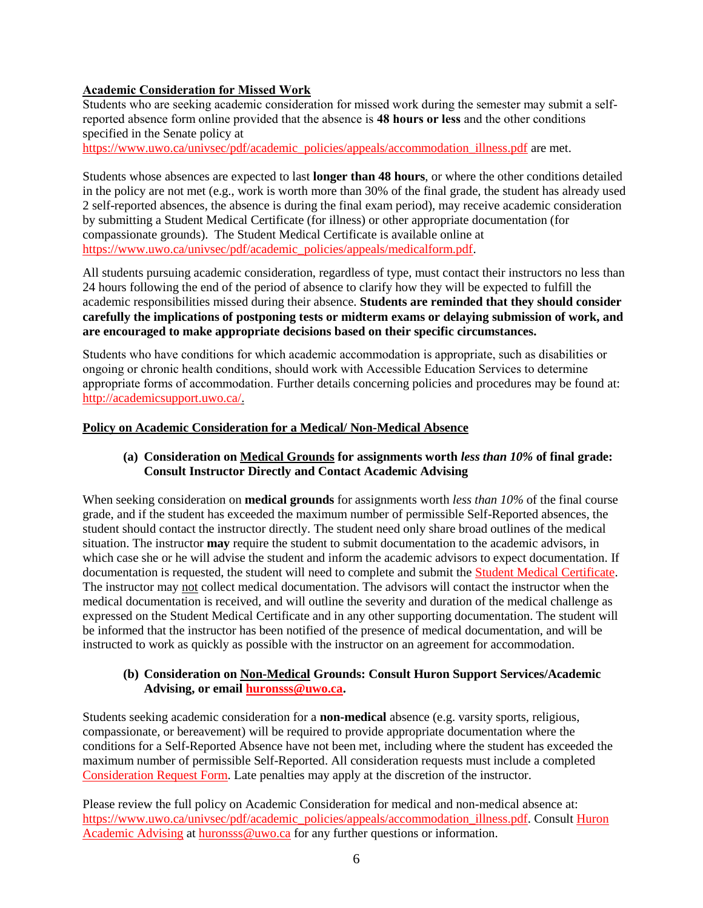# **Academic Consideration for Missed Work**

Students who are seeking academic consideration for missed work during the semester may submit a selfreported absence form online provided that the absence is **48 hours or less** and the other conditions specified in the Senate policy at

[https://www.uwo.ca/univsec/pdf/academic\\_policies/appeals/accommodation\\_illness.pdf](https://www.uwo.ca/univsec/pdf/academic_policies/appeals/accommodation_illness.pdf) are met.

Students whose absences are expected to last **longer than 48 hours**, or where the other conditions detailed in the policy are not met (e.g., work is worth more than 30% of the final grade, the student has already used 2 self-reported absences, the absence is during the final exam period), may receive academic consideration by submitting a Student Medical Certificate (for illness) or other appropriate documentation (for compassionate grounds). The Student Medical Certificate is available online at [https://www.uwo.ca/univsec/pdf/academic\\_policies/appeals/medicalform.pdf.](https://www.uwo.ca/univsec/pdf/academic_policies/appeals/medicalform.pdf)

All students pursuing academic consideration, regardless of type, must contact their instructors no less than 24 hours following the end of the period of absence to clarify how they will be expected to fulfill the academic responsibilities missed during their absence. **Students are reminded that they should consider carefully the implications of postponing tests or midterm exams or delaying submission of work, and are encouraged to make appropriate decisions based on their specific circumstances.**

Students who have conditions for which academic accommodation is appropriate, such as disabilities or ongoing or chronic health conditions, should work with Accessible Education Services to determine appropriate forms of accommodation. Further details concerning policies and procedures may be found at: [http://academicsupport.uwo.ca/.](http://academicsupport.uwo.ca/)

#### **Policy on Academic Consideration for a Medical/ Non-Medical Absence**

## **(a) Consideration on Medical Grounds for assignments worth** *less than 10%* **of final grade: Consult Instructor Directly and Contact Academic Advising**

When seeking consideration on **medical grounds** for assignments worth *less than 10%* of the final course grade, and if the student has exceeded the maximum number of permissible Self-Reported absences, the student should contact the instructor directly. The student need only share broad outlines of the medical situation. The instructor **may** require the student to submit documentation to the academic advisors, in which case she or he will advise the student and inform the academic advisors to expect documentation. If documentation is requested, the student will need to complete and submit the [Student Medical Certificate.](https://www.uwo.ca/univsec/pdf/academic_policies/appeals/medicalform_15JUN.pdf) The instructor may not collect medical documentation. The advisors will contact the instructor when the medical documentation is received, and will outline the severity and duration of the medical challenge as expressed on the Student Medical Certificate and in any other supporting documentation. The student will be informed that the instructor has been notified of the presence of medical documentation, and will be instructed to work as quickly as possible with the instructor on an agreement for accommodation.

#### **(b) Consideration on Non-Medical Grounds: Consult Huron Support Services/Academic Advising, or email [huronsss@uwo.ca.](mailto:huronsss@uwo.ca)**

Students seeking academic consideration for a **non-medical** absence (e.g. varsity sports, religious, compassionate, or bereavement) will be required to provide appropriate documentation where the conditions for a Self-Reported Absence have not been met, including where the student has exceeded the maximum number of permissible Self-Reported. All consideration requests must include a completed [Consideration Request Form.](https://huronatwestern.ca/sites/default/files/Forms/Academic%20Consideration%20Request%20Form%202020.pdf) Late penalties may apply at the discretion of the instructor.

Please review the full policy on Academic Consideration for medical and non-medical absence at: [https://www.uwo.ca/univsec/pdf/academic\\_policies/appeals/accommodation\\_illness.pdf.](https://www.uwo.ca/univsec/pdf/academic_policies/appeals/accommodation_illness.pdf) Consult [Huron](https://huronatwestern.ca/student-life/student-services/academic-advising/)  [Academic Advising](https://huronatwestern.ca/student-life/student-services/academic-advising/) at [huronsss@uwo.ca](mailto:huronsss@uwo.ca) for any further questions or information.